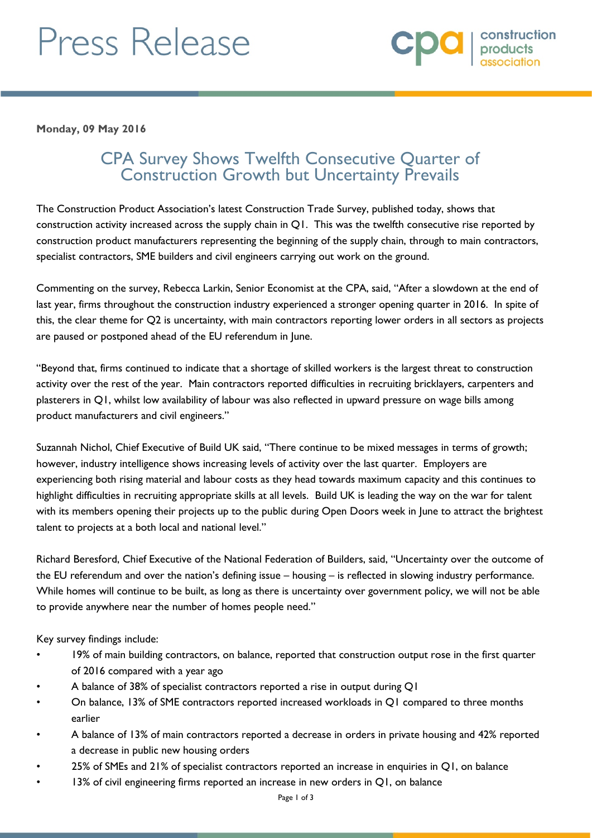# Press Release



**Monday, 09 May 2016**

## CPA Survey Shows Twelfth Consecutive Quarter of Construction Growth but Uncertainty Prevails

The Construction Product Association's latest Construction Trade Survey, published today, shows that construction activity increased across the supply chain in Q1. This was the twelfth consecutive rise reported by construction product manufacturers representing the beginning of the supply chain, through to main contractors, specialist contractors, SME builders and civil engineers carrying out work on the ground.

Commenting on the survey, Rebecca Larkin, Senior Economist at the CPA, said, "After a slowdown at the end of last year, firms throughout the construction industry experienced a stronger opening quarter in 2016. In spite of this, the clear theme for Q2 is uncertainty, with main contractors reporting lower orders in all sectors as projects are paused or postponed ahead of the EU referendum in June.

"Beyond that, firms continued to indicate that a shortage of skilled workers is the largest threat to construction activity over the rest of the year. Main contractors reported difficulties in recruiting bricklayers, carpenters and plasterers in Q1, whilst low availability of labour was also reflected in upward pressure on wage bills among product manufacturers and civil engineers."

Suzannah Nichol, Chief Executive of Build UK said, "There continue to be mixed messages in terms of growth; however, industry intelligence shows increasing levels of activity over the last quarter. Employers are experiencing both rising material and labour costs as they head towards maximum capacity and this continues to highlight difficulties in recruiting appropriate skills at all levels. Build UK is leading the way on the war for talent with its members opening their projects up to the public during Open Doors week in June to attract the brightest talent to projects at a both local and national level."

Richard Beresford, Chief Executive of the National Federation of Builders, said, "Uncertainty over the outcome of the EU referendum and over the nation's defining issue – housing – is reflected in slowing industry performance. While homes will continue to be built, as long as there is uncertainty over government policy, we will not be able to provide anywhere near the number of homes people need."

Key survey findings include:

- 19% of main building contractors, on balance, reported that construction output rose in the first quarter of 2016 compared with a year ago
- A balance of 38% of specialist contractors reported a rise in output during Q1
- On balance, 13% of SME contractors reported increased workloads in Q1 compared to three months earlier
- A balance of 13% of main contractors reported a decrease in orders in private housing and 42% reported a decrease in public new housing orders
- 25% of SMEs and 21% of specialist contractors reported an increase in enquiries in Q1, on balance
- $13%$  of civil engineering firms reported an increase in new orders in Q1, on balance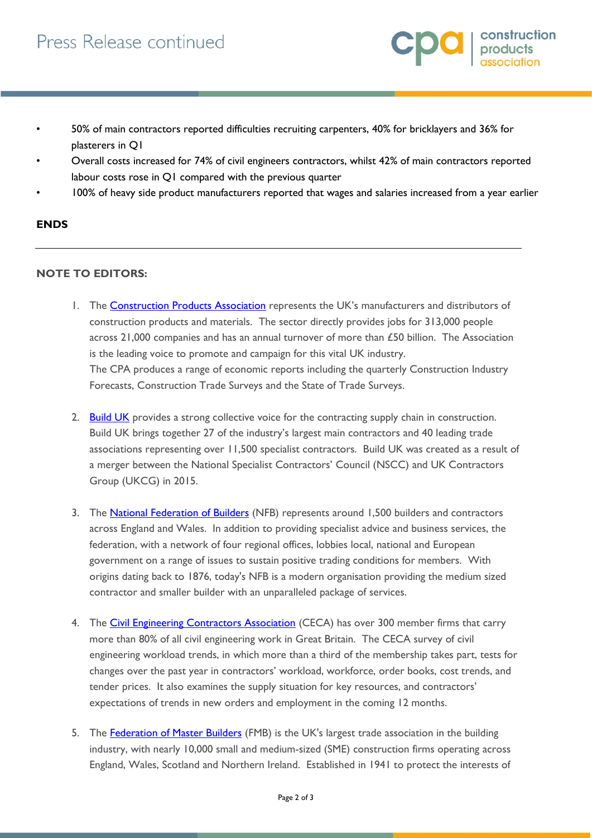

- 50% of main contractors reported difficulties recruiting carpenters, 40% for bricklayers and 36% for plasterers in Q1
- Overall costs increased for 74% of civil engineers contractors, whilst 42% of main contractors reported labour costs rose in Q1 compared with the previous quarter
- 100% of heavy side product manufacturers reported that wages and salaries increased from a year earlier

### **ENDS**

#### **NOTE TO EDITORS:**

- 1. The **Construction Products Association** represents the UK's manufacturers and distributors of construction products and materials. The sector directly provides jobs for 313,000 people across 21,000 companies and has an annual turnover of more than £50 billion. The Association is the leading voice to promote and campaign for this vital UK industry. The CPA produces a range of economic reports including the quarterly Construction Industry Forecasts, Construction Trade Surveys and the State of Trade Surveys.
- 2. [Build UK](http://www.builduk.org/) provides a strong collective voice for the contracting supply chain in construction. Build UK brings together 27 of the industry's largest main contractors and 40 leading trade associations representing over 11,500 specialist contractors. Build UK was created as a result of a merger between the National Specialist Contractors' Council (NSCC) and UK Contractors Group (UKCG) in 2015.
- 3. The [National Federation of Builders](http://www.builders.org.uk/) (NFB) represents around 1,500 builders and contractors across England and Wales. In addition to providing specialist advice and business services, the federation, with a network of four regional offices, lobbies local, national and European government on a range of issues to sustain positive trading conditions for members. With origins dating back to 1876, today's NFB is a modern organisation providing the medium sized contractor and smaller builder with an unparalleled package of services.
- 4. The [Civil Engineering Contractors Association](http://www.ceca.co.uk/) (CECA) has over 300 member firms that carry more than 80% of all civil engineering work in Great Britain. The CECA survey of civil engineering workload trends, in which more than a third of the membership takes part, tests for changes over the past year in contractors' workload, workforce, order books, cost trends, and tender prices. It also examines the supply situation for key resources, and contractors' expectations of trends in new orders and employment in the coming 12 months.
- 5. The **Federation of Master Builders** (FMB) is the UK's largest trade association in the building industry, with nearly 10,000 small and medium-sized (SME) construction firms operating across England, Wales, Scotland and Northern Ireland. Established in 1941 to protect the interests of